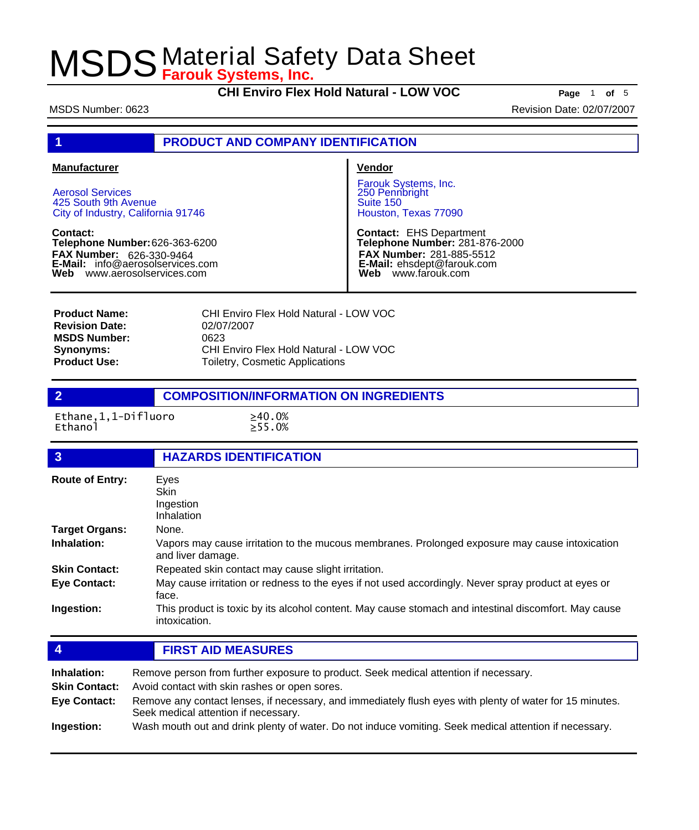**CHI Enviro Flex Hold Natural - LOW VOC Page** <sup>1</sup> **of** <sup>5</sup>

MSDS Number: 0623 **Revision Date: 02/07/2007** Revision Date: 02/07/2007

# **1 PRODUCT AND COMPANY IDENTIFICATION**

#### **Manufacturer**

Aerosol Services 425 South 9th Avenue City of Industry, California 91746

**Contact: Telephone Number:** 626-363-6200 **FAX Number: FAX Number:** 626-330-9464<br>**E-Mail:** info@aerosolservices.com **Web** www.aerosolservices.com

#### **Vendor**

Farouk Systems, Inc. 250 Pennbright Suite 150 Houston, Texas 77090

**Contact:** EHS Department **Telephone Number:** 281-876-2000 **FAX Number:** 281-885-5512 **E-Mail:** ehsdept@farouk.com **Web** www.farouk.com

CHI Enviro Flex Hold Natural - LOW VOC 02/07/2007 0623 CHI Enviro Flex Hold Natural - LOW VOC Toiletry, Cosmetic Applications **Product Name: Revision Date: MSDS Number: Synonyms: Product Use:**

### **2 COMPOSITION/INFORMATION ON INGREDIENTS**

Ethane,1,1-Difluoro ≥40.0%<br>Ethanol >55.0%

 $\Sigma$ 55.0%

| $\mathbf{3}$                                               | <b>HAZARDS IDENTIFICATION</b>                                                                                                                                                                                                                                                             |  |
|------------------------------------------------------------|-------------------------------------------------------------------------------------------------------------------------------------------------------------------------------------------------------------------------------------------------------------------------------------------|--|
| <b>Route of Entry:</b>                                     | Eyes<br>Skin<br>Ingestion<br>Inhalation                                                                                                                                                                                                                                                   |  |
| <b>Target Organs:</b>                                      | None.                                                                                                                                                                                                                                                                                     |  |
| Inhalation:                                                | Vapors may cause irritation to the mucous membranes. Prolonged exposure may cause intoxication<br>and liver damage.                                                                                                                                                                       |  |
| <b>Skin Contact:</b>                                       | Repeated skin contact may cause slight irritation.                                                                                                                                                                                                                                        |  |
| <b>Eye Contact:</b>                                        | May cause irritation or redness to the eyes if not used accordingly. Never spray product at eyes or<br>face.                                                                                                                                                                              |  |
| Ingestion:                                                 | This product is toxic by its alcohol content. May cause stomach and intestinal discomfort. May cause<br>intoxication.                                                                                                                                                                     |  |
| $\overline{4}$                                             | <b>FIRST AID MEASURES</b>                                                                                                                                                                                                                                                                 |  |
| Inhalation:<br><b>Skin Contact:</b><br><b>Eye Contact:</b> | Remove person from further exposure to product. Seek medical attention if necessary.<br>Avoid contact with skin rashes or open sores.<br>Remove any contact lenses, if necessary, and immediately flush eyes with plenty of water for 15 minutes.<br>Seek medical attention if necessary. |  |

**Ingestion:** Wash mouth out and drink plenty of water. Do not induce vomiting. Seek medical attention if necessary.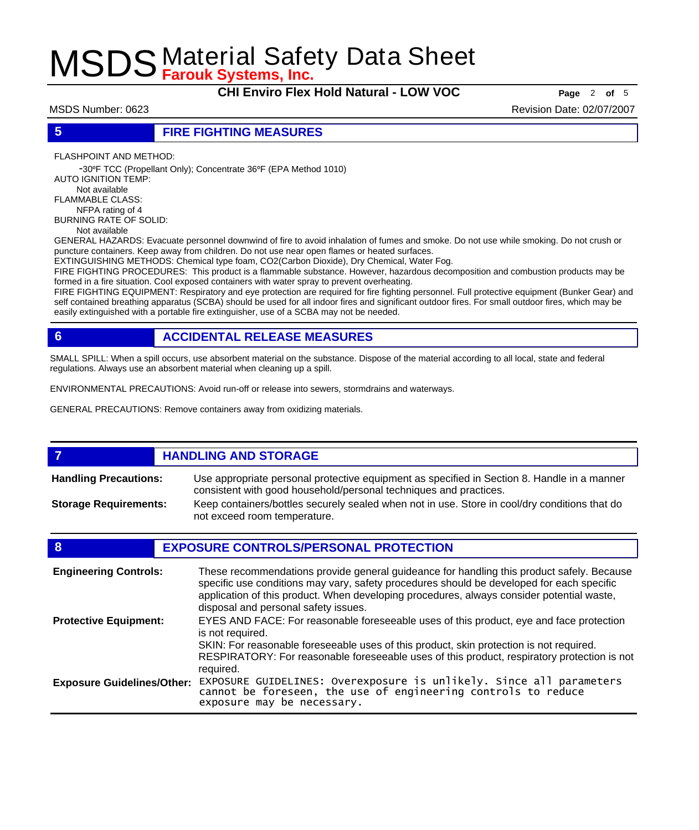**CHI Enviro Flex Hold Natural - LOW VOC Page** <sup>2</sup> **of** <sup>5</sup>

MSDS Number: 0623 **Revision Date: 02/07/2007** Revision Date: 02/07/2007

## **5 FIRE FIGHTING MEASURES**

FLASHPOINT AND METHOD:

 -30ºF TCC (Propellant Only); Concentrate 36ºF (EPA Method 1010) AUTO IGNITION TEMP: Not available FLAMMABLE CLASS: NFPA rating of 4

BURNING RATE OF SOLID:

Not available

GENERAL HAZARDS: Evacuate personnel downwind of fire to avoid inhalation of fumes and smoke. Do not use while smoking. Do not crush or puncture containers. Keep away from children. Do not use near open flames or heated surfaces.

EXTINGUISHING METHODS: Chemical type foam, CO2(Carbon Dioxide), Dry Chemical, Water Fog.

FIRE FIGHTING PROCEDURES: This product is a flammable substance. However, hazardous decomposition and combustion products may be formed in a fire situation. Cool exposed containers with water spray to prevent overheating.

FIRE FIGHTING EQUIPMENT: Respiratory and eye protection are required for fire fighting personnel. Full protective equipment (Bunker Gear) and self contained breathing apparatus (SCBA) should be used for all indoor fires and significant outdoor fires. For small outdoor fires, which may be easily extinguished with a portable fire extinguisher, use of a SCBA may not be needed.

# **6 ACCIDENTAL RELEASE MEASURES**

SMALL SPILL: When a spill occurs, use absorbent material on the substance. Dispose of the material according to all local, state and federal regulations. Always use an absorbent material when cleaning up a spill.

ENVIRONMENTAL PRECAUTIONS: Avoid run-off or release into sewers, stormdrains and waterways.

GENERAL PRECAUTIONS: Remove containers away from oxidizing materials.

### *HANDLING AND STORAGE*

Use appropriate personal protective equipment as specified in Section 8. Handle in a manner consistent with good household/personal techniques and practices. **Handling Precautions:** Keep containers/bottles securely sealed when not in use. Store in cool/dry conditions that do **Storage Requirements:**

not exceed room temperature.

## **8 EXPOSURE CONTROLS/PERSONAL PROTECTION**

| <b>Engineering Controls:</b>      | These recommendations provide general guideance for handling this product safely. Because<br>specific use conditions may vary, safety procedures should be developed for each specific<br>application of this product. When developing procedures, always consider potential waste,<br>disposal and personal safety issues. |
|-----------------------------------|-----------------------------------------------------------------------------------------------------------------------------------------------------------------------------------------------------------------------------------------------------------------------------------------------------------------------------|
| <b>Protective Equipment:</b>      | EYES AND FACE: For reasonable foreseeable uses of this product, eye and face protection<br>is not required.<br>SKIN: For reasonable foreseeable uses of this product, skin protection is not required.<br>RESPIRATORY: For reasonable foreseeable uses of this product, respiratory protection is not                       |
| <b>Exposure Guidelines/Other:</b> | required.<br>EXPOSURE GUIDELINES: Overexposure is unlikely. Since all parameters<br>cannot be foreseen, the use of engineering controls to reduce<br>exposure may be necessary.                                                                                                                                             |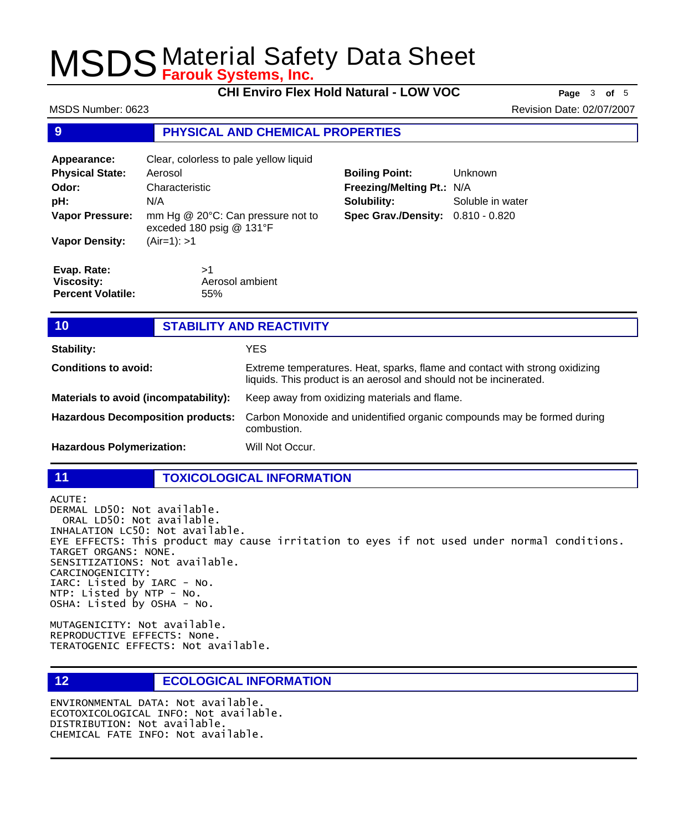**CHI Enviro Flex Hold Natural - LOW VOC Page** <sup>3</sup> **of** <sup>5</sup>

MSDS Number: 0623 **Revision Date: 02/07/2007** Revision Date: 02/07/2007

### **9 PHYSICAL AND CHEMICAL PROPERTIES**

| Appearance:                      | Clear, colorless to pale yellow liquid                        |                            |                  |
|----------------------------------|---------------------------------------------------------------|----------------------------|------------------|
| <b>Physical State:</b>           | Aerosol                                                       | <b>Boiling Point:</b>      | <b>Unknown</b>   |
| Odor:                            | Characteristic                                                | Freezing/Melting Pt.: N/A  |                  |
| pH:                              | N/A                                                           | Solubility:                | Soluble in water |
| <b>Vapor Pressure:</b>           | mm Hg @ 20°C: Can pressure not to<br>exceded 180 psig @ 131°F | <b>Spec Grav./Density:</b> | $0.810 - 0.820$  |
| <b>Vapor Density:</b>            | (Air=1): >1                                                   |                            |                  |
| Evap. Rate:<br><b>Viscosity:</b> | >1<br>Aerosol ambient                                         |                            |                  |
| <b>Percent Volatile:</b>         | 55%                                                           |                            |                  |

| 10                                       | <b>STABILITY AND REACTIVITY</b> |                                                                                                                                                   |
|------------------------------------------|---------------------------------|---------------------------------------------------------------------------------------------------------------------------------------------------|
| <b>Stability:</b>                        |                                 | <b>YES</b>                                                                                                                                        |
| <b>Conditions to avoid:</b>              |                                 | Extreme temperatures. Heat, sparks, flame and contact with strong oxidizing<br>liquids. This product is an aerosol and should not be incinerated. |
| Materials to avoid (incompatability):    |                                 | Keep away from oxidizing materials and flame.                                                                                                     |
| <b>Hazardous Decomposition products:</b> |                                 | Carbon Monoxide and unidentified organic compounds may be formed during<br>combustion.                                                            |
| <b>Hazardous Polymerization:</b>         |                                 | Will Not Occur.                                                                                                                                   |

### **11 TOXICOLOGICAL INFORMATION**

ACUTE: DERMAL LD50: Not available. ORAL LD50: Not available. INHALATION LC50: Not available. EYE EFFECTS: This product may cause irritation to eyes if not used under normal conditions. TARGET ORGANS: NONE. SENSITIZATIONS: Not available. CARCINOGENICITY: IARC: Listed by IARC - No. NTP: Listed by NTP - No. OSHA: Listed by OSHA - No.

MUTAGENICITY: Not available. REPRODUCTIVE EFFECTS: None. TERATOGENIC EFFECTS: Not available.

**12 ECOLOGICAL INFORMATION** 

ENVIRONMENTAL DATA: Not available. ECOTOXICOLOGICAL INFO: Not available. DISTRIBUTION: Not available. CHEMICAL FATE INFO: Not available.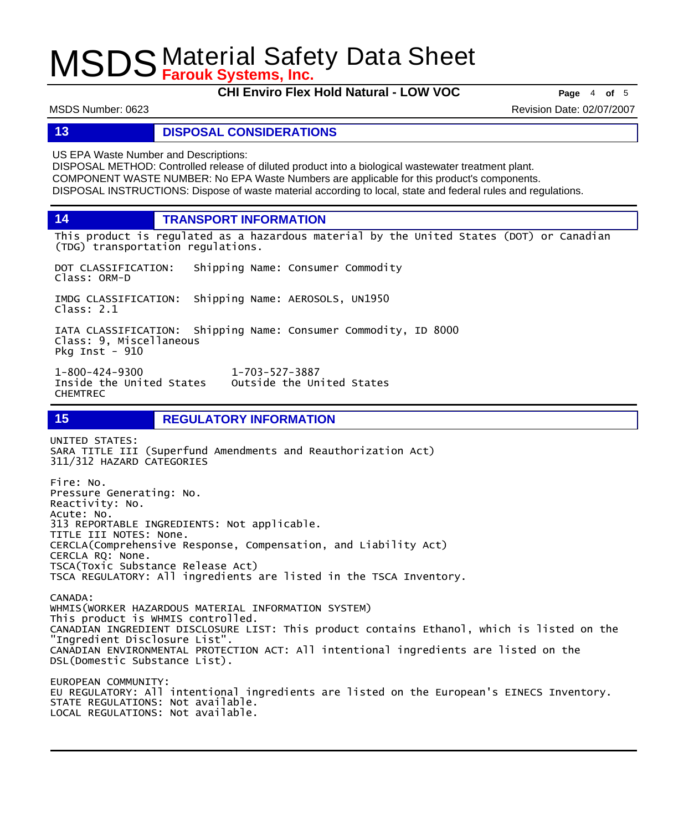**CHI Enviro Flex Hold Natural - LOW VOC Page** <sup>4</sup> **of** <sup>5</sup>

MSDS Number: 0623 **Revision Date: 02/07/2007** Revision Date: 02/07/2007

### **13 DISPOSAL CONSIDERATIONS**

US EPA Waste Number and Descriptions:

DISPOSAL METHOD: Controlled release of diluted product into a biological wastewater treatment plant. COMPONENT WASTE NUMBER: No EPA Waste Numbers are applicable for this product's components. DISPOSAL INSTRUCTIONS: Dispose of waste material according to local, state and federal rules and regulations.

**14 TRANSPORT INFORMATION**

This product is regulated as a hazardous material by the United States (DOT) or Canadian (TDG) transportation regulations.

DOT CLASSIFICATION: Shipping Name: Consumer Commodity Class: ORM-D

IMDG CLASSIFICATION: Shipping Name: AEROSOLS, UN1950 Class: 2.1

IATA CLASSIFICATION: Shipping Name: Consumer Commodity, ID 8000 Class: 9, Miscellaneous Pkg Inst - 910

1-800-424-9300 1-703-527-3887 Inside the United States CHEMTREC

**15 REGULATORY INFORMATION**

UNITED STATES: SARA TITLE III (Superfund Amendments and Reauthorization Act) 311/312 HAZARD CATEGORIES Fire: No. Pressure Generating: No. Reactivity: No. Acute: No. 313 REPORTABLE INGREDIENTS: Not applicable. TITLE III NOTES: None. CERCLA(Comprehensive Response, Compensation, and Liability Act) CERCLA RQ: None. TSCA(Toxic Substance Release Act) TSCA REGULATORY: All ingredients are listed in the TSCA Inventory.

CANADA: WHMIS(WORKER HAZARDOUS MATERIAL INFORMATION SYSTEM) This product is WHMIS controlled. CANADIAN INGREDIENT DISCLOSURE LIST: This product contains Ethanol, which is listed on the "Ingredient Disclosure List". CANADIAN ENVIRONMENTAL PROTECTION ACT: All intentional ingredients are listed on the DSL(Domestic Substance List).

EUROPEAN COMMUNITY: EU REGULATORY: All intentional ingredients are listed on the European's EINECS Inventory. STATE REGULATIONS: Not available. LOCAL REGULATIONS: Not available.